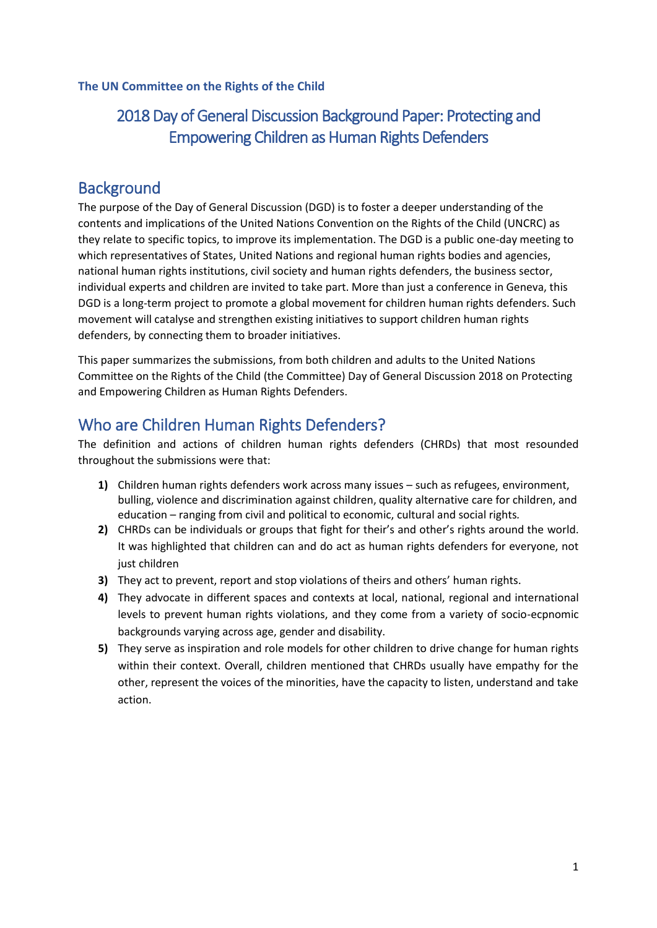# 2018 Day of General Discussion Background Paper: Protecting and Empowering Children as Human Rights Defenders

## **Background**

The purpose of the Day of General Discussion (DGD) is to foster a deeper understanding of the contents and implications of the United Nations Convention on the Rights of the Child (UNCRC) as they relate to specific topics, to improve its implementation. The DGD is a public one-day meeting to which representatives of States, United Nations and regional human rights bodies and agencies, national human rights institutions, civil society and human rights defenders, the business sector, individual experts and children are invited to take part. More than just a conference in Geneva, this DGD is a long-term project to promote a global movement for children human rights defenders. Such movement will catalyse and strengthen existing initiatives to support children human rights defenders, by connecting them to broader initiatives.

This paper summarizes the submissions, from both children and adults to the United Nations Committee on the Rights of the Child (the Committee) Day of General Discussion 2018 on Protecting and Empowering Children as Human Rights Defenders.

# Who are Children Human Rights Defenders?

The definition and actions of children human rights defenders (CHRDs) that most resounded throughout the submissions were that:

- **1)** Children human rights defenders work across many issues such as refugees, environment, bulling, violence and discrimination against children, quality alternative care for children, and education – ranging from civil and political to economic, cultural and social rights*.*
- **2)** CHRDs can be individuals or groups that fight for their's and other's rights around the world. It was highlighted that children can and do act as human rights defenders for everyone, not just children
- **3)** They act to prevent, report and stop violations of theirs and others' human rights.
- **4)** They advocate in different spaces and contexts at local, national, regional and international levels to prevent human rights violations, and they come from a variety of socio-ecpnomic backgrounds varying across age, gender and disability.
- **5)** They serve as inspiration and role models for other children to drive change for human rights within their context. Overall, children mentioned that CHRDs usually have empathy for the other, represent the voices of the minorities, have the capacity to listen, understand and take action.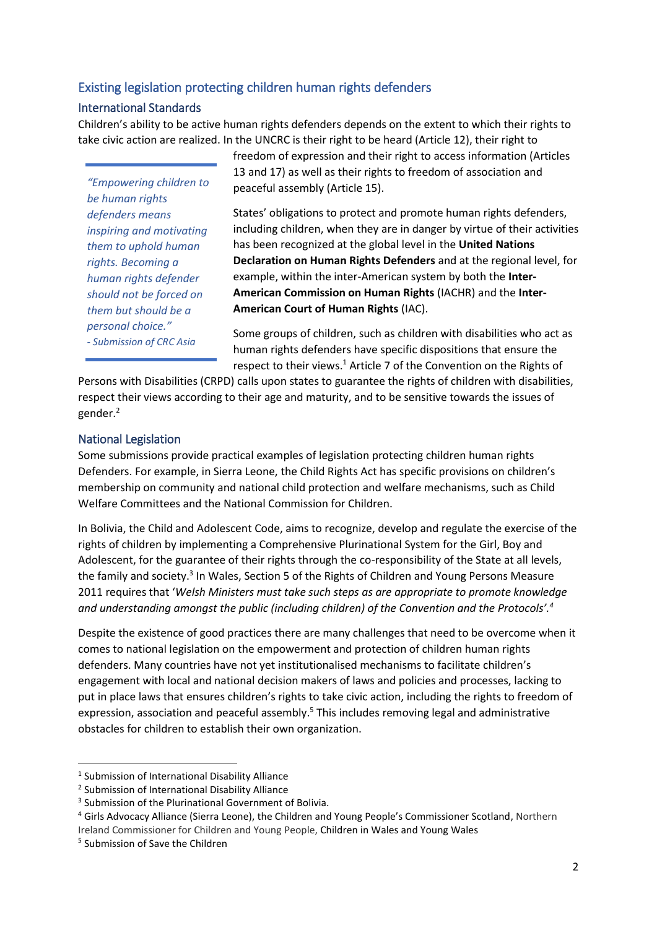### Existing legislation protecting children human rights defenders

### International Standards

Children's ability to be active human rights defenders depends on the extent to which their rights to take civic action are realized. In the UNCRC is their right to be heard (Article 12), their right to

*"Empowering children to be human rights defenders means inspiring and motivating them to uphold human rights. Becoming a human rights defender should not be forced on them but should be a personal choice." - Submission of CRC Asia*

freedom of expression and their right to access information (Articles 13 and 17) as well as their rights to freedom of association and peaceful assembly (Article 15).

States' obligations to protect and promote human rights defenders, including children, when they are in danger by virtue of their activities has been recognized at the global level in the **United Nations Declaration on Human Rights Defenders** and at the regional level, for example, within the inter-American system by both the **Inter-American Commission on Human Rights** (IACHR) and the **Inter-American Court of Human Rights** (IAC).

Some groups of children, such as children with disabilities who act as human rights defenders have specific dispositions that ensure the respect to their views.<sup>1</sup> Article 7 of the Convention on the Rights of

Persons with Disabilities (CRPD) calls upon states to guarantee the rights of children with disabilities, respect their views according to their age and maturity, and to be sensitive towards the issues of gender. 2

### National Legislation

Some submissions provide practical examples of legislation protecting children human rights Defenders. For example, in Sierra Leone, the Child Rights Act has specific provisions on children's membership on community and national child protection and welfare mechanisms, such as Child Welfare Committees and the National Commission for Children.

In Bolivia, the Child and Adolescent Code, aims to recognize, develop and regulate the exercise of the rights of children by implementing a Comprehensive Plurinational System for the Girl, Boy and Adolescent, for the guarantee of their rights through the co-responsibility of the State at all levels, the family and society.<sup>3</sup> In Wales, Section 5 of the Rights of Children and Young Persons Measure 2011 requires that '*Welsh Ministers must take such steps as are appropriate to promote knowledge and understanding amongst the public (including children) of the Convention and the Protocols'.<sup>4</sup>*

Despite the existence of good practices there are many challenges that need to be overcome when it comes to national legislation on the empowerment and protection of children human rights defenders. Many countries have not yet institutionalised mechanisms to facilitate children's engagement with local and national decision makers of laws and policies and processes, lacking to put in place laws that ensures children's rights to take civic action, including the rights to freedom of expression, association and peaceful assembly.<sup>5</sup> This includes removing legal and administrative obstacles for children to establish their own organization.

1

<sup>1</sup> Submission of International Disability Alliance

<sup>&</sup>lt;sup>2</sup> Submission of International Disability Alliance

<sup>3</sup> Submission of the Plurinational Government of Bolivia.

<sup>4</sup> Girls Advocacy Alliance (Sierra Leone), the Children and Young People's Commissioner Scotland, Northern Ireland Commissioner for Children and Young People, Children in Wales and Young Wales

<sup>5</sup> Submission of Save the Children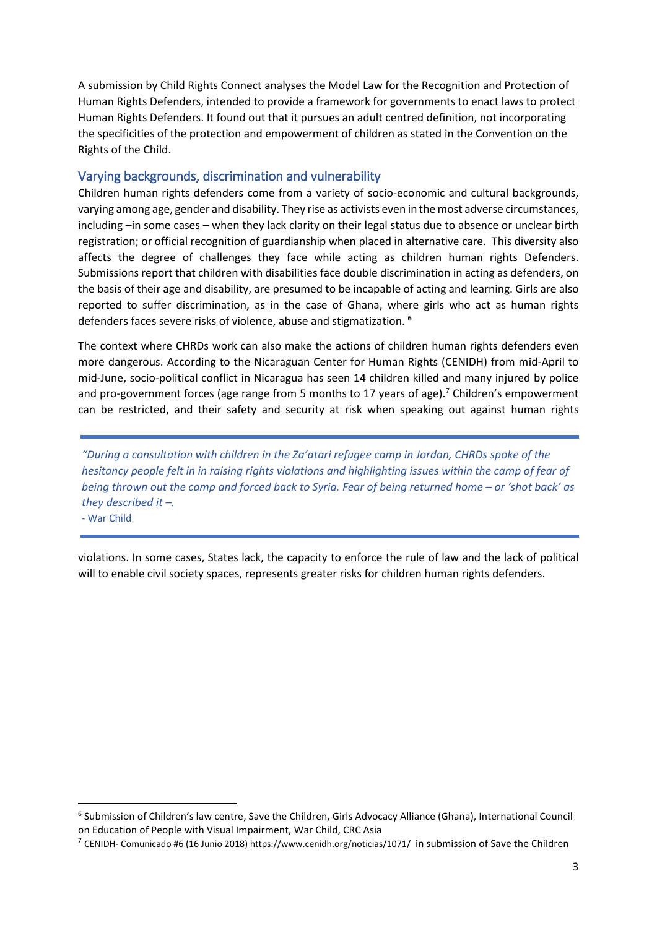A submission by Child Rights Connect analyses the Model Law for the Recognition and Protection of Human Rights Defenders, intended to provide a framework for governments to enact laws to protect Human Rights Defenders. It found out that it pursues an adult centred definition, not incorporating the specificities of the protection and empowerment of children as stated in the Convention on the Rights of the Child.

### Varying backgrounds, discrimination and vulnerability

Children human rights defenders come from a variety of socio-economic and cultural backgrounds, varying among age, gender and disability. They rise as activists even in the most adverse circumstances, including –in some cases – when they lack clarity on their legal status due to absence or unclear birth registration; or official recognition of guardianship when placed in alternative care. This diversity also affects the degree of challenges they face while acting as children human rights Defenders. Submissions report that children with disabilities face double discrimination in acting as defenders, on the basis of their age and disability, are presumed to be incapable of acting and learning. Girls are also reported to suffer discrimination, as in the case of Ghana, where girls who act as human rights defenders faces severe risks of violence, abuse and stigmatization. **<sup>6</sup>**

The context where CHRDs work can also make the actions of children human rights defenders even more dangerous. According to the Nicaraguan Center for Human Rights (CENIDH) from mid-April to mid-June, socio-political conflict in Nicaragua has seen 14 children killed and many injured by police and pro-government forces (age range from 5 months to 17 years of age).<sup>7</sup> Children's empowerment can be restricted, and their safety and security at risk when speaking out against human rights

*"During a consultation with children in the Za'atari refugee camp in Jordan, CHRDs spoke of the hesitancy people felt in in raising rights violations and highlighting issues within the camp of fear of being thrown out the camp and forced back to Syria. Fear of being returned home - or 'shot back' as they described it –.* - War Child

violations. In some cases, States lack, the capacity to enforce the rule of law and the lack of political will to enable civil society spaces, represents greater risks for children human rights defenders.

<sup>&</sup>lt;sup>6</sup> Submission of Children's law centre, Save the Children, Girls Advocacy Alliance (Ghana), International Council on Education of People with Visual Impairment, War Child, CRC Asia

<sup>&</sup>lt;sup>7</sup> CENIDH- Comunicado #6 (16 Junio 2018) https://www.cenidh.org/noticias/1071/ in submission of Save the Children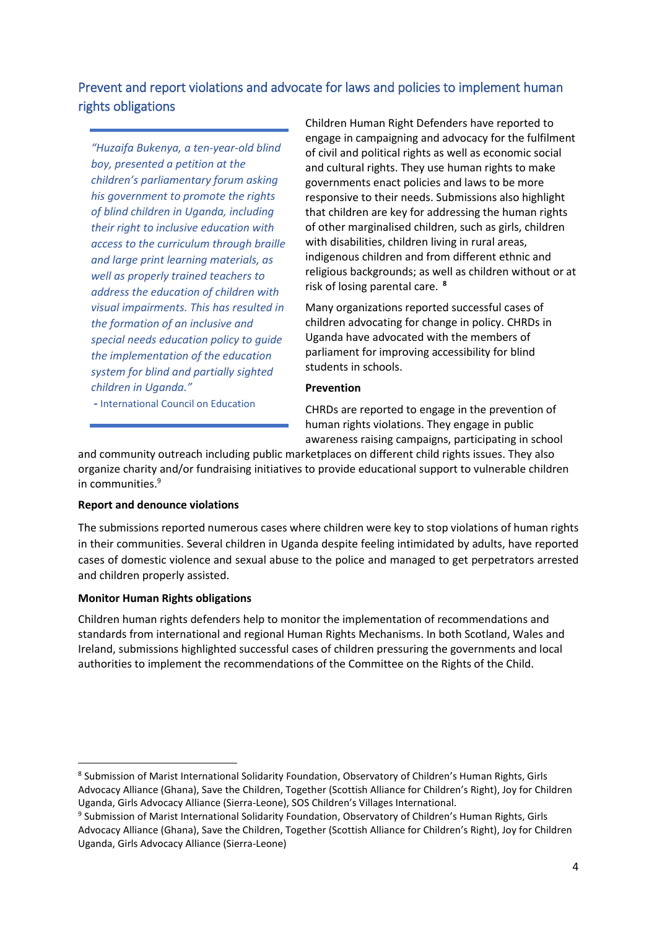## Prevent and report violations and advocate for laws and policies to implement human rights obligations

*"Huzaifa Bukenya, a ten-year-old blind boy, presented a petition at the children's parliamentary forum asking his government to promote the rights of blind children in Uganda, including their right to inclusive education with access to the curriculum through braille and large print learning materials, as well as properly trained teachers to address the education of children with visual impairments. This has resulted in the formation of an inclusive and special needs education policy to guide the implementation of the education system for blind and partially sighted children in Uganda."*

Children Human Right Defenders have reported to engage in campaigning and advocacy for the fulfilment of civil and political rights as well as economic social and cultural rights. They use human rights to make governments enact policies and laws to be more responsive to their needs. Submissions also highlight that children are key for addressing the human rights of other marginalised children, such as girls, children with disabilities, children living in rural areas, indigenous children and from different ethnic and religious backgrounds; as well as children without or at risk of losing parental care. **<sup>8</sup>**

Many organizations reported successful cases of children advocating for change in policy. CHRDs in Uganda have advocated with the members of parliament for improving accessibility for blind students in schools.

#### **Prevention**

CHRDs are reported to engage in the prevention of human rights violations. They engage in public awareness raising campaigns, participating in school

and community outreach including public marketplaces on different child rights issues. They also organize charity and/or fundraising initiatives to provide educational support to vulnerable children in communities.<sup>9</sup>

### **Report and denounce violations**

*-* International Council on Education

The submissions reported numerous cases where children were key to stop violations of human rights in their communities. Several children in Uganda despite feeling intimidated by adults, have reported cases of domestic violence and sexual abuse to the police and managed to get perpetrators arrested and children properly assisted.

### **Monitor Human Rights obligations**

1

Children human rights defenders help to monitor the implementation of recommendations and standards from international and regional Human Rights Mechanisms. In both Scotland, Wales and Ireland, submissions highlighted successful cases of children pressuring the governments and local authorities to implement the recommendations of the Committee on the Rights of the Child.

<sup>&</sup>lt;sup>8</sup> Submission of Marist International Solidarity Foundation, Observatory of Children's Human Rights, Girls Advocacy Alliance (Ghana), Save the Children, Together (Scottish Alliance for Children's Right), Joy for Children Uganda, Girls Advocacy Alliance (Sierra-Leone), SOS Children's Villages International.

<sup>&</sup>lt;sup>9</sup> Submission of Marist International Solidarity Foundation, Observatory of Children's Human Rights, Girls Advocacy Alliance (Ghana), Save the Children, Together (Scottish Alliance for Children's Right), Joy for Children Uganda, Girls Advocacy Alliance (Sierra-Leone)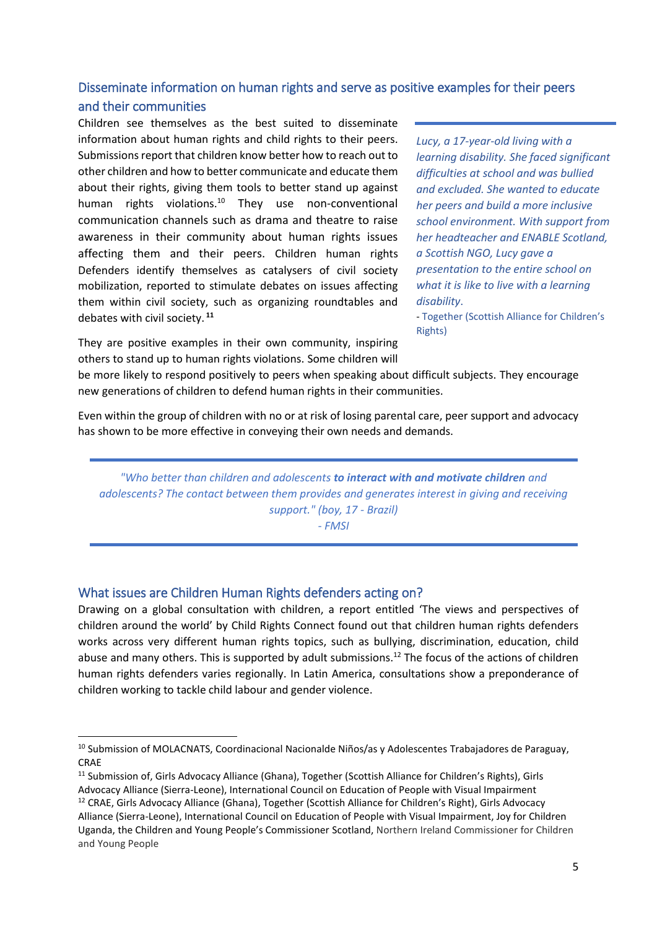## Disseminate information on human rights and serve as positive examples for their peers and their communities

Children see themselves as the best suited to disseminate information about human rights and child rights to their peers. Submissions report that children know better how to reach out to other children and how to better communicate and educate them about their rights, giving them tools to better stand up against human rights violations.<sup>10</sup> They use non-conventional communication channels such as drama and theatre to raise awareness in their community about human rights issues affecting them and their peers. Children human rights Defenders identify themselves as catalysers of civil society mobilization, reported to stimulate debates on issues affecting them within civil society, such as organizing roundtables and debates with civil society. **<sup>11</sup>**

They are positive examples in their own community, inspiring others to stand up to human rights violations. Some children will *Lucy, a 17-year-old living with a learning disability. She faced significant difficulties at school and was bullied and excluded. She wanted to educate her peers and build a more inclusive school environment. With support from her headteacher and ENABLE Scotland, a Scottish NGO, Lucy gave a presentation to the entire school on what it is like to live with a learning disability*.

- Together (Scottish Alliance for Children's Rights)

be more likely to respond positively to peers when speaking about difficult subjects. They encourage new generations of children to defend human rights in their communities.

Even within the group of children with no or at risk of losing parental care, peer support and advocacy has shown to be more effective in conveying their own needs and demands.

*"Who better than children and adolescents to interact with and motivate children and adolescents? The contact between them provides and generates interest in giving and receiving support." (boy, 17 - Brazil) - FMSI*

### What issues are Children Human Rights defenders acting on?

1

Drawing on a global consultation with children, a report entitled 'The views and perspectives of children around the world' by Child Rights Connect found out that children human rights defenders works across very different human rights topics, such as bullying, discrimination, education, child abuse and many others. This is supported by adult submissions.<sup>12</sup> The focus of the actions of children human rights defenders varies regionally. In Latin America, consultations show a preponderance of children working to tackle child labour and gender violence.

<sup>&</sup>lt;sup>10</sup> Submission of MOLACNATS, Coordinacional Nacionalde Niños/as y Adolescentes Trabajadores de Paraguay, CRAE

<sup>&</sup>lt;sup>11</sup> Submission of, Girls Advocacy Alliance (Ghana), Together (Scottish Alliance for Children's Rights), Girls Advocacy Alliance (Sierra-Leone), International Council on Education of People with Visual Impairment

<sup>&</sup>lt;sup>12</sup> CRAE, Girls Advocacy Alliance (Ghana), Together (Scottish Alliance for Children's Right), Girls Advocacy Alliance (Sierra-Leone), International Council on Education of People with Visual Impairment, Joy for Children Uganda, the Children and Young People's Commissioner Scotland, Northern Ireland Commissioner for Children and Young People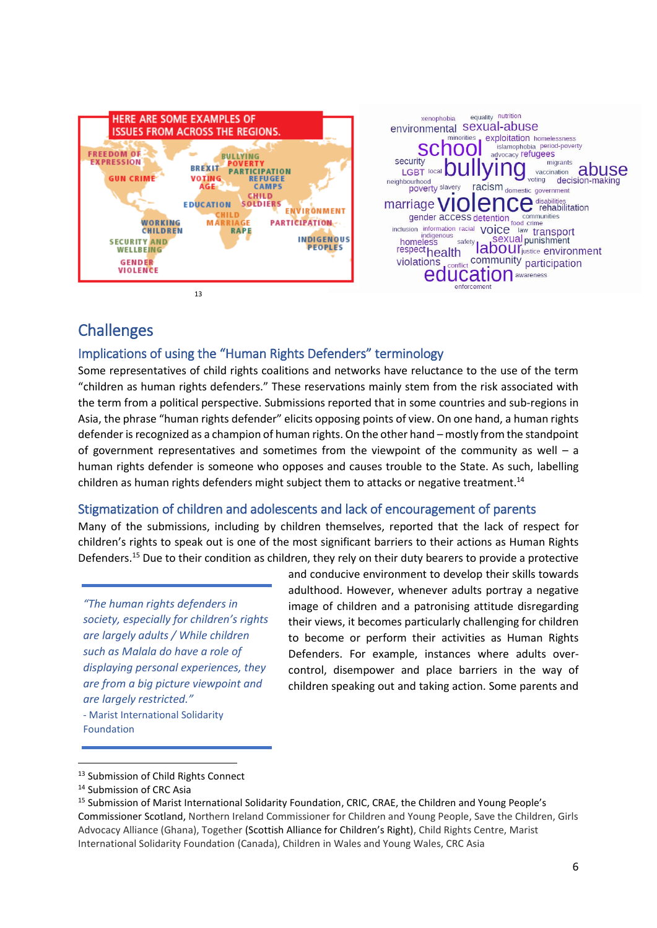

equality nutrition xenophobia environmental sexual-abuse minorities exploitation homelessness islamophobia period-poverty C nool advocacy refugees security llying migrants abuse **LGBT** local vaccination decision-making neighbourhood poverty slavery racism domestic government **ence** disabilities marriage  $VIO$ gender access detention communities inclusion information racial VOICE<sup>tood crime</sup><br>indigenous Elusion information racial VOICE law transport<br>homeless safety SeXual punishment<br>espect health aboutli<sub>lustice</sub> environment respecthealth  $\frac{1}{2}$  community participation violations **education** awareness enforcemen

# **Challenges**

### Implications of using the "Human Rights Defenders" terminology

Some representatives of child rights coalitions and networks have reluctance to the use of the term "children as human rights defenders." These reservations mainly stem from the risk associated with the term from a political perspective. Submissions reported that in some countries and sub-regions in Asia, the phrase "human rights defender" elicits opposing points of view. On one hand, a human rights defender is recognized as a champion of human rights. On the other hand – mostly from the standpoint of government representatives and sometimes from the viewpoint of the community as well – a human rights defender is someone who opposes and causes trouble to the State. As such, labelling children as human rights defenders might subject them to attacks or negative treatment.<sup>14</sup>

### Stigmatization of children and adolescents and lack of encouragement of parents

Many of the submissions, including by children themselves, reported that the lack of respect for children's rights to speak out is one of the most significant barriers to their actions as Human Rights Defenders. <sup>15</sup> Due to their condition as children, they rely on their duty bearers to provide a protective

*"The human rights defenders in society, especially for children's rights are largely adults / While children such as Malala do have a role of displaying personal experiences, they are from a big picture viewpoint and are largely restricted."*  - Marist International Solidarity Foundation

and conducive environment to develop their skills towards adulthood. However, whenever adults portray a negative image of children and a patronising attitude disregarding their views, it becomes particularly challenging for children to become or perform their activities as Human Rights Defenders. For example, instances where adults overcontrol, disempower and place barriers in the way of children speaking out and taking action. Some parents and

<sup>1</sup> 13 Submission of Child Rights Connect

<sup>14</sup> Submission of CRC Asia

<sup>15</sup> Submission of Marist International Solidarity Foundation, CRIC, CRAE, the Children and Young People's Commissioner Scotland, Northern Ireland Commissioner for Children and Young People, Save the Children, Girls Advocacy Alliance (Ghana), Together (Scottish Alliance for Children's Right), Child Rights Centre, Marist International Solidarity Foundation (Canada), Children in Wales and Young Wales, CRC Asia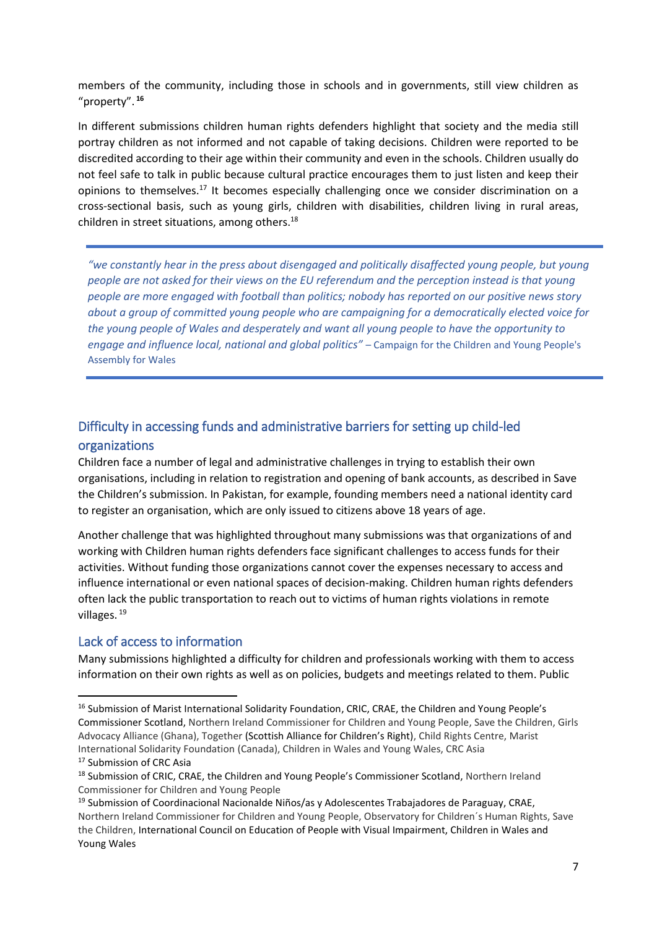members of the community, including those in schools and in governments, still view children as "property". **16**

In different submissions children human rights defenders highlight that society and the media still portray children as not informed and not capable of taking decisions. Children were reported to be discredited according to their age within their community and even in the schools. Children usually do not feel safe to talk in public because cultural practice encourages them to just listen and keep their opinions to themselves.<sup>17</sup> It becomes especially challenging once we consider discrimination on a cross-sectional basis, such as young girls, children with disabilities, children living in rural areas, children in street situations, among others.<sup>18</sup>

*"we constantly hear in the press about disengaged and politically disaffected young people, but young people are not asked for their views on the EU referendum and the perception instead is that young people are more engaged with football than politics; nobody has reported on our positive news story about a group of committed young people who are campaigning for a democratically elected voice for the young people of Wales and desperately and want all young people to have the opportunity to engage and influence local, national and global politics"* – Campaign for the Children and Young People's Assembly for Wales

## Difficulty in accessing funds and administrative barriers for setting up child-led organizations

Children face a number of legal and administrative challenges in trying to establish their own organisations, including in relation to registration and opening of bank accounts, as described in Save the Children's submission. In Pakistan, for example, founding members need a national identity card to register an organisation, which are only issued to citizens above 18 years of age.

Another challenge that was highlighted throughout many submissions was that organizations of and working with Children human rights defenders face significant challenges to access funds for their activities. Without funding those organizations cannot cover the expenses necessary to access and influence international or even national spaces of decision-making. Children human rights defenders often lack the public transportation to reach out to victims of human rights violations in remote villages.<sup>19</sup>

### Lack of access to information

1

Many submissions highlighted a difficulty for children and professionals working with them to access information on their own rights as well as on policies, budgets and meetings related to them. Public

<sup>&</sup>lt;sup>16</sup> Submission of Marist International Solidarity Foundation, CRIC, CRAE, the Children and Young People's Commissioner Scotland, Northern Ireland Commissioner for Children and Young People, Save the Children, Girls Advocacy Alliance (Ghana), Together (Scottish Alliance for Children's Right), Child Rights Centre, Marist International Solidarity Foundation (Canada), Children in Wales and Young Wales, CRC Asia <sup>17</sup> Submission of CRC Asia

<sup>&</sup>lt;sup>18</sup> Submission of CRIC, CRAE, the Children and Young People's Commissioner Scotland, Northern Ireland Commissioner for Children and Young People

<sup>&</sup>lt;sup>19</sup> Submission of Coordinacional Nacionalde Niños/as y Adolescentes Trabajadores de Paraguay, CRAE, Northern Ireland Commissioner for Children and Young People, Observatory for Children´s Human Rights, Save the Children, International Council on Education of People with Visual Impairment, Children in Wales and Young Wales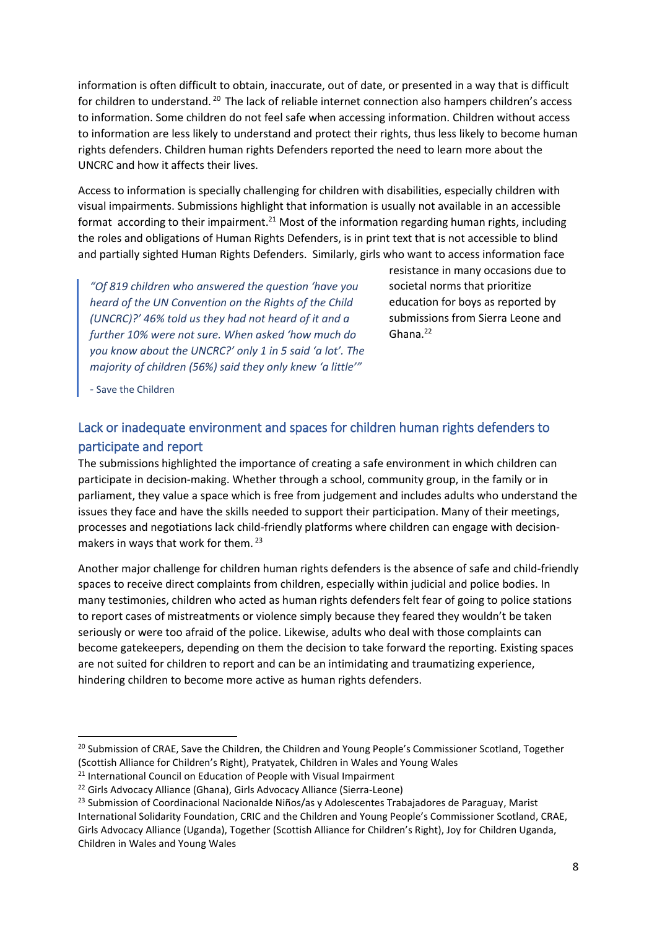information is often difficult to obtain, inaccurate, out of date, or presented in a way that is difficult for children to understand. <sup>20</sup> The lack of reliable internet connection also hampers children's access to information. Some children do not feel safe when accessing information. Children without access to information are less likely to understand and protect their rights, thus less likely to become human rights defenders. Children human rights Defenders reported the need to learn more about the UNCRC and how it affects their lives.

Access to information is specially challenging for children with disabilities, especially children with visual impairments. Submissions highlight that information is usually not available in an accessible format according to their impairment.<sup>21</sup> Most of the information regarding human rights, including the roles and obligations of Human Rights Defenders, is in print text that is not accessible to blind and partially sighted Human Rights Defenders. Similarly, girls who want to access information face

*"Of 819 children who answered the question 'have you heard of the UN Convention on the Rights of the Child (UNCRC)?' 46% told us they had not heard of it and a further 10% were not sure. When asked 'how much do you know about the UNCRC?' only 1 in 5 said 'a lot'. The majority of children (56%) said they only knew 'a little'"*

resistance in many occasions due to societal norms that prioritize education for boys as reported by submissions from Sierra Leone and Ghana. 22

*-* Save the Children

1

## Lack or inadequate environment and spaces for children human rights defenders to participate and report

The submissions highlighted the importance of creating a safe environment in which children can participate in decision-making. Whether through a school, community group, in the family or in parliament, they value a space which is free from judgement and includes adults who understand the issues they face and have the skills needed to support their participation. Many of their meetings, processes and negotiations lack child-friendly platforms where children can engage with decisionmakers in ways that work for them.<sup>23</sup>

Another major challenge for children human rights defenders is the absence of safe and child-friendly spaces to receive direct complaints from children, especially within judicial and police bodies. In many testimonies, children who acted as human rights defenders felt fear of going to police stations to report cases of mistreatments or violence simply because they feared they wouldn't be taken seriously or were too afraid of the police. Likewise, adults who deal with those complaints can become gatekeepers, depending on them the decision to take forward the reporting. Existing spaces are not suited for children to report and can be an intimidating and traumatizing experience, hindering children to become more active as human rights defenders.

<sup>&</sup>lt;sup>20</sup> Submission of CRAE, Save the Children, the Children and Young People's Commissioner Scotland, Together (Scottish Alliance for Children's Right), Pratyatek, Children in Wales and Young Wales

<sup>&</sup>lt;sup>21</sup> International Council on Education of People with Visual Impairment

<sup>&</sup>lt;sup>22</sup> Girls Advocacy Alliance (Ghana), Girls Advocacy Alliance (Sierra-Leone)

<sup>&</sup>lt;sup>23</sup> Submission of Coordinacional Nacionalde Niños/as y Adolescentes Trabajadores de Paraguay, Marist International Solidarity Foundation, CRIC and the Children and Young People's Commissioner Scotland, CRAE, Girls Advocacy Alliance (Uganda), Together (Scottish Alliance for Children's Right), Joy for Children Uganda, Children in Wales and Young Wales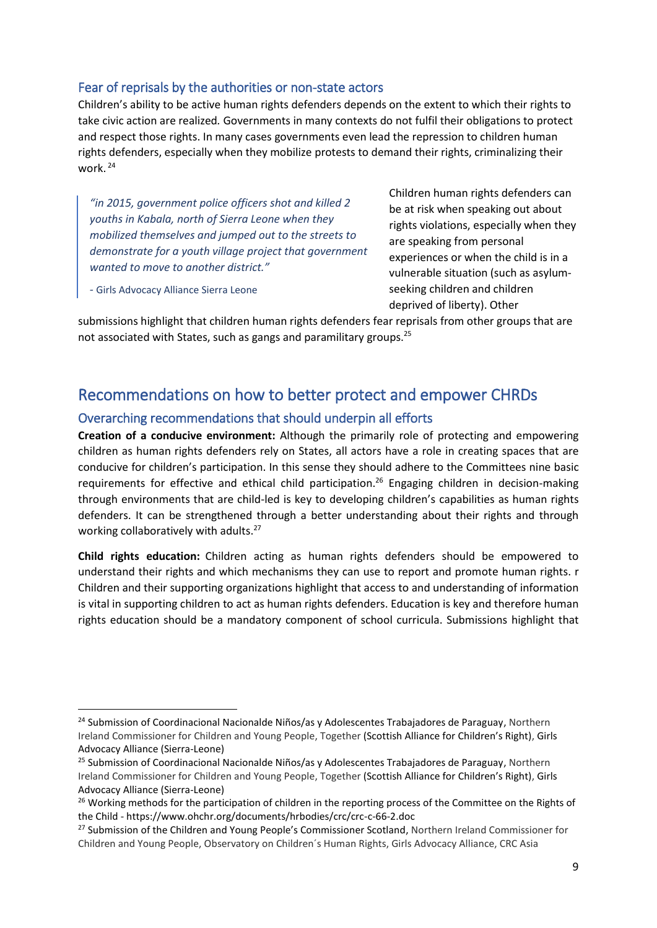### Fear of reprisals by the authorities or non-state actors

Children's ability to be active human rights defenders depends on the extent to which their rights to take civic action are realized*.* Governments in many contexts do not fulfil their obligations to protect and respect those rights. In many cases governments even lead the repression to children human rights defenders, especially when they mobilize protests to demand their rights, criminalizing their work. <sup>24</sup>

*"in 2015, government police officers shot and killed 2 youths in Kabala, north of Sierra Leone when they mobilized themselves and jumped out to the streets to demonstrate for a youth village project that government wanted to move to another district."*

*-* Girls Advocacy Alliance Sierra Leone

**.** 

Children human rights defenders can be at risk when speaking out about rights violations, especially when they are speaking from personal experiences or when the child is in a vulnerable situation (such as asylumseeking children and children deprived of liberty). Other

submissions highlight that children human rights defenders fear reprisals from other groups that are not associated with States, such as gangs and paramilitary groups.<sup>25</sup>

## Recommendations on how to better protect and empower CHRDs

### Overarching recommendations that should underpin all efforts

**Creation of a conducive environment:** Although the primarily role of protecting and empowering children as human rights defenders rely on States, all actors have a role in creating spaces that are conducive for children's participation. In this sense they should adhere to the Committees nine basic requirements for effective and ethical child participation.<sup>26</sup> Engaging children in decision-making through environments that are child-led is key to developing children's capabilities as human rights defenders. It can be strengthened through a better understanding about their rights and through working collaboratively with adults.<sup>27</sup>

**Child rights education:** Children acting as human rights defenders should be empowered to understand their rights and which mechanisms they can use to report and promote human rights. r Children and their supporting organizations highlight that access to and understanding of information is vital in supporting children to act as human rights defenders. Education is key and therefore human rights education should be a mandatory component of school curricula. Submissions highlight that

<sup>&</sup>lt;sup>24</sup> Submission of Coordinacional Nacionalde Niños/as y Adolescentes Trabajadores de Paraguay, Northern Ireland Commissioner for Children and Young People, Together (Scottish Alliance for Children's Right), Girls Advocacy Alliance (Sierra-Leone)

<sup>&</sup>lt;sup>25</sup> Submission of Coordinacional Nacionalde Niños/as y Adolescentes Trabajadores de Paraguay, Northern Ireland Commissioner for Children and Young People, Together (Scottish Alliance for Children's Right), Girls Advocacy Alliance (Sierra-Leone)

<sup>&</sup>lt;sup>26</sup> Working methods for the participation of children in the reporting process of the Committee on the Rights of the Child - https://www.ohchr.org/documents/hrbodies/crc/crc-c-66-2.doc

<sup>&</sup>lt;sup>27</sup> Submission of the Children and Young People's Commissioner Scotland, Northern Ireland Commissioner for Children and Young People, Observatory on Children´s Human Rights, Girls Advocacy Alliance, CRC Asia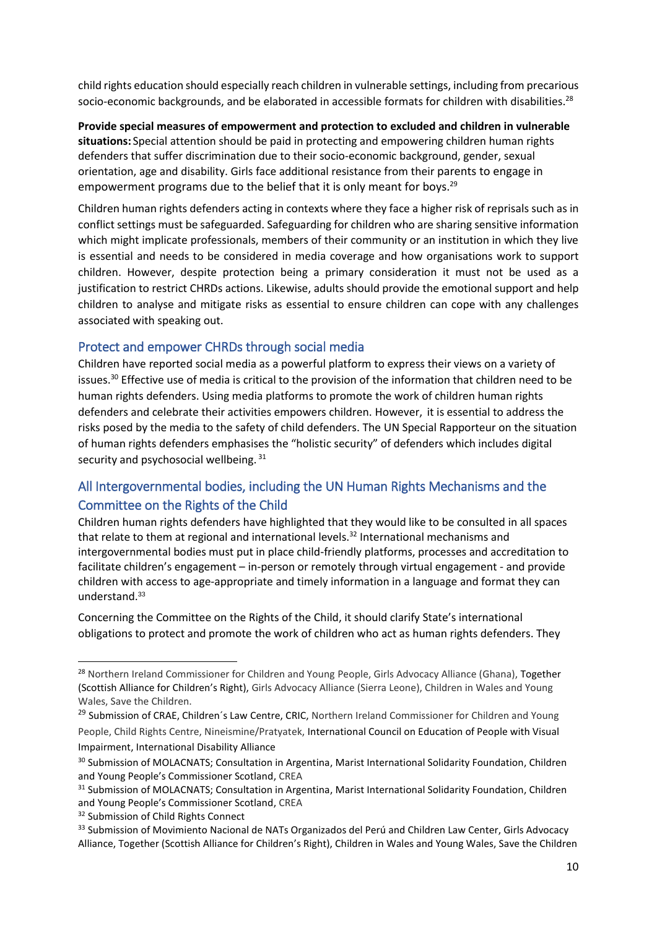child rights education should especially reach children in vulnerable settings, including from precarious socio-economic backgrounds, and be elaborated in accessible formats for children with disabilities.<sup>28</sup>

**Provide special measures of empowerment and protection to excluded and children in vulnerable situations:** Special attention should be paid in protecting and empowering children human rights defenders that suffer discrimination due to their socio-economic background, gender, sexual orientation, age and disability. Girls face additional resistance from their parents to engage in empowerment programs due to the belief that it is only meant for boys.<sup>29</sup>

Children human rights defenders acting in contexts where they face a higher risk of reprisals such as in conflict settings must be safeguarded. Safeguarding for children who are sharing sensitive information which might implicate professionals, members of their community or an institution in which they live is essential and needs to be considered in media coverage and how organisations work to support children. However, despite protection being a primary consideration it must not be used as a justification to restrict CHRDs actions. Likewise, adults should provide the emotional support and help children to analyse and mitigate risks as essential to ensure children can cope with any challenges associated with speaking out.

### Protect and empower CHRDs through social media

Children have reported social media as a powerful platform to express their views on a variety of issues. <sup>30</sup> Effective use of media is critical to the provision of the information that children need to be human rights defenders. Using media platforms to promote the work of children human rights defenders and celebrate their activities empowers children. However, it is essential to address the risks posed by the media to the safety of child defenders. The UN Special Rapporteur on the situation of human rights defenders emphasises the "holistic security" of defenders which includes digital security and psychosocial wellbeing. 31

## All Intergovernmental bodies, including the UN Human Rights Mechanisms and the Committee on the Rights of the Child

Children human rights defenders have highlighted that they would like to be consulted in all spaces that relate to them at regional and international levels. <sup>32</sup> International mechanisms and intergovernmental bodies must put in place child-friendly platforms, processes and accreditation to facilitate children's engagement – in-person or remotely through virtual engagement - and provide children with access to age-appropriate and timely information in a language and format they can understand. 33

Concerning the Committee on the Rights of the Child, it should clarify State's international obligations to protect and promote the work of children who act as human rights defenders. They

<sup>&</sup>lt;sup>28</sup> Northern Ireland Commissioner for Children and Young People, Girls Advocacy Alliance (Ghana), Together (Scottish Alliance for Children's Right), Girls Advocacy Alliance (Sierra Leone), Children in Wales and Young Wales, Save the Children.

<sup>&</sup>lt;sup>29</sup> Submission of CRAE, Children's Law Centre, CRIC, Northern Ireland Commissioner for Children and Young People, Child Rights Centre, Nineismine/Pratyatek, International Council on Education of People with Visual Impairment, International Disability Alliance

<sup>&</sup>lt;sup>30</sup> Submission of MOLACNATS; Consultation in Argentina, Marist International Solidarity Foundation, Children and Young People's Commissioner Scotland, CREA

<sup>&</sup>lt;sup>31</sup> Submission of MOLACNATS; Consultation in Argentina, Marist International Solidarity Foundation, Children and Young People's Commissioner Scotland, CREA

<sup>&</sup>lt;sup>32</sup> Submission of Child Rights Connect

<sup>33</sup> Submission of Movimiento Nacional de NATs Organizados del Perú and Children Law Center, Girls Advocacy Alliance, Together (Scottish Alliance for Children's Right), Children in Wales and Young Wales, Save the Children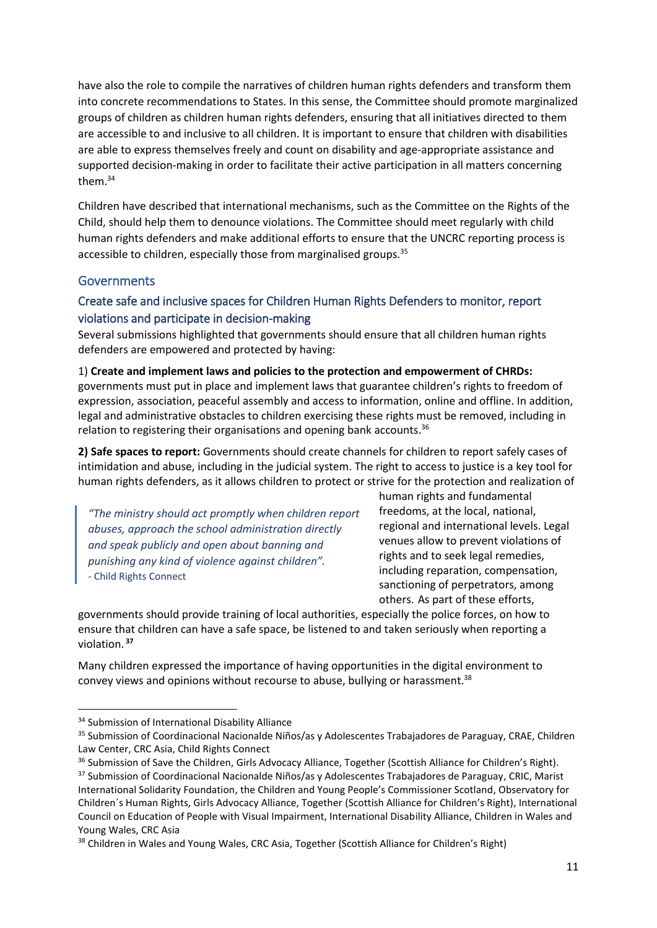have also the role to compile the narratives of children human rights defenders and transform them into concrete recommendations to States. In this sense, the Committee should promote marginalized groups of children as children human rights defenders, ensuring that all initiatives directed to them are accessible to and inclusive to all children. It is important to ensure that children with disabilities are able to express themselves freely and count on disability and age-appropriate assistance and supported decision-making in order to facilitate their active participation in all matters concerning them.<sup>34</sup>

Children have described that international mechanisms, such as the Committee on the Rights of the Child, should help them to denounce violations. The Committee should meet regularly with child human rights defenders and make additional efforts to ensure that the UNCRC reporting process is accessible to children, especially those from marginalised groups.<sup>35</sup>

### **Governments**

### Create safe and inclusive spaces for Children Human Rights Defenders to monitor, report violations and participate in decision-making

Several submissions highlighted that governments should ensure that all children human rights defenders are empowered and protected by having:

1) **Create and implement laws and policies to the protection and empowerment of CHRDs:** governments must put in place and implement laws that guarantee children's rights to freedom of expression, association, peaceful assembly and access to information, online and offline. In addition, legal and administrative obstacles to children exercising these rights must be removed, including in relation to registering their organisations and opening bank accounts.<sup>36</sup>

**2) Safe spaces to report:** Governments should create channels for children to report safely cases of intimidation and abuse, including in the judicial system. The right to access to justice is a key tool for human rights defenders, as it allows children to protect or strive for the protection and realization of

*"The ministry should act promptly when children report abuses, approach the school administration directly and speak publicly and open about banning and punishing any kind of violence against children".*  - Child Rights Connect

human rights and fundamental freedoms, at the local, national, regional and international levels. Legal venues allow to prevent violations of rights and to seek legal remedies, including reparation, compensation, sanctioning of perpetrators, among others. As part of these efforts,

governments should provide training of local authorities, especially the police forces, on how to ensure that children can have a safe space, be listened to and taken seriously when reporting a violation. **37**

Many children expressed the importance of having opportunities in the digital environment to convey views and opinions without recourse to abuse, bullying or harassment.<sup>38</sup>

<sup>&</sup>lt;sup>34</sup> Submission of International Disability Alliance

<sup>35</sup> Submission of Coordinacional Nacionalde Niños/as y Adolescentes Trabajadores de Paraguay, CRAE, Children Law Center, CRC Asia, Child Rights Connect

<sup>&</sup>lt;sup>36</sup> Submission of Save the Children, Girls Advocacy Alliance, Together (Scottish Alliance for Children's Right).

<sup>&</sup>lt;sup>37</sup> Submission of Coordinacional Nacionalde Niños/as y Adolescentes Trabajadores de Paraguay, CRIC, Marist International Solidarity Foundation, the Children and Young People's Commissioner Scotland, Observatory for Children´s Human Rights, Girls Advocacy Alliance, Together (Scottish Alliance for Children's Right), International Council on Education of People with Visual Impairment, International Disability Alliance, Children in Wales and Young Wales, CRC Asia

<sup>&</sup>lt;sup>38</sup> Children in Wales and Young Wales, CRC Asia, Together (Scottish Alliance for Children's Right)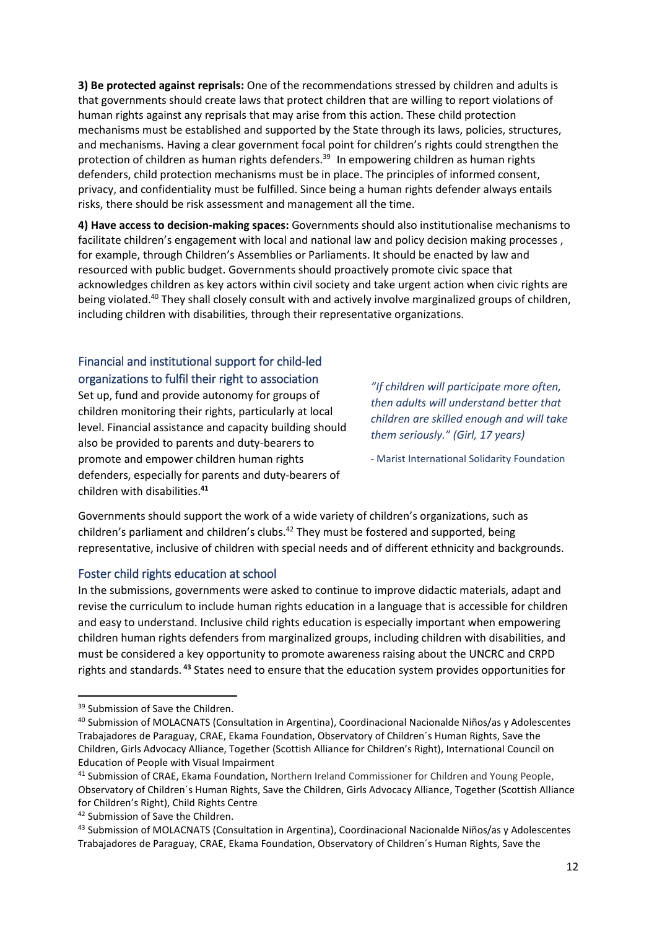**3) Be protected against reprisals:** One of the recommendations stressed by children and adults is that governments should create laws that protect children that are willing to report violations of human rights against any reprisals that may arise from this action. These child protection mechanisms must be established and supported by the State through its laws, policies, structures, and mechanisms. Having a clear government focal point for children's rights could strengthen the protection of children as human rights defenders.<sup>39</sup> In empowering children as human rights defenders, child protection mechanisms must be in place. The principles of informed consent, privacy, and confidentiality must be fulfilled. Since being a human rights defender always entails risks, there should be risk assessment and management all the time.

**4) Have access to decision-making spaces:** Governments should also institutionalise mechanisms to facilitate children's engagement with local and national law and policy decision making processes , for example, through Children's Assemblies or Parliaments. It should be enacted by law and resourced with public budget. Governments should proactively promote civic space that acknowledges children as key actors within civil society and take urgent action when civic rights are being violated. <sup>40</sup> They shall closely consult with and actively involve marginalized groups of children, including children with disabilities, through their representative organizations.

## Financial and institutional support for child-led organizations to fulfil their right to association

Set up, fund and provide autonomy for groups of children monitoring their rights, particularly at local level. Financial assistance and capacity building should also be provided to parents and duty-bearers to promote and empower children human rights defenders, especially for parents and duty-bearers of children with disabilities.**<sup>41</sup>**

*"If children will participate more often, then adults will understand better that children are skilled enough and will take them seriously." (Girl, 17 years)*

- Marist International Solidarity Foundation

Governments should support the work of a wide variety of children's organizations, such as children's parliament and children's clubs.<sup>42</sup> They must be fostered and supported, being representative, inclusive of children with special needs and of different ethnicity and backgrounds.

### Foster child rights education at school

In the submissions, governments were asked to continue to improve didactic materials, adapt and revise the curriculum to include human rights education in a language that is accessible for children and easy to understand. Inclusive child rights education is especially important when empowering children human rights defenders from marginalized groups, including children with disabilities, and must be considered a key opportunity to promote awareness raising about the UNCRC and CRPD rights and standards. **<sup>43</sup>** States need to ensure that the education system provides opportunities for

1

<sup>&</sup>lt;sup>39</sup> Submission of Save the Children.

<sup>&</sup>lt;sup>40</sup> Submission of MOLACNATS (Consultation in Argentina), Coordinacional Nacionalde Niños/as y Adolescentes Trabajadores de Paraguay, CRAE, Ekama Foundation, Observatory of Children´s Human Rights, Save the Children, Girls Advocacy Alliance, Together (Scottish Alliance for Children's Right), International Council on Education of People with Visual Impairment

<sup>41</sup> Submission of CRAE, Ekama Foundation, Northern Ireland Commissioner for Children and Young People, Observatory of Children´s Human Rights, Save the Children, Girls Advocacy Alliance, Together (Scottish Alliance for Children's Right), Child Rights Centre

<sup>&</sup>lt;sup>42</sup> Submission of Save the Children.

<sup>&</sup>lt;sup>43</sup> Submission of MOLACNATS (Consultation in Argentina), Coordinacional Nacionalde Niños/as y Adolescentes Trabajadores de Paraguay, CRAE, Ekama Foundation, Observatory of Children´s Human Rights, Save the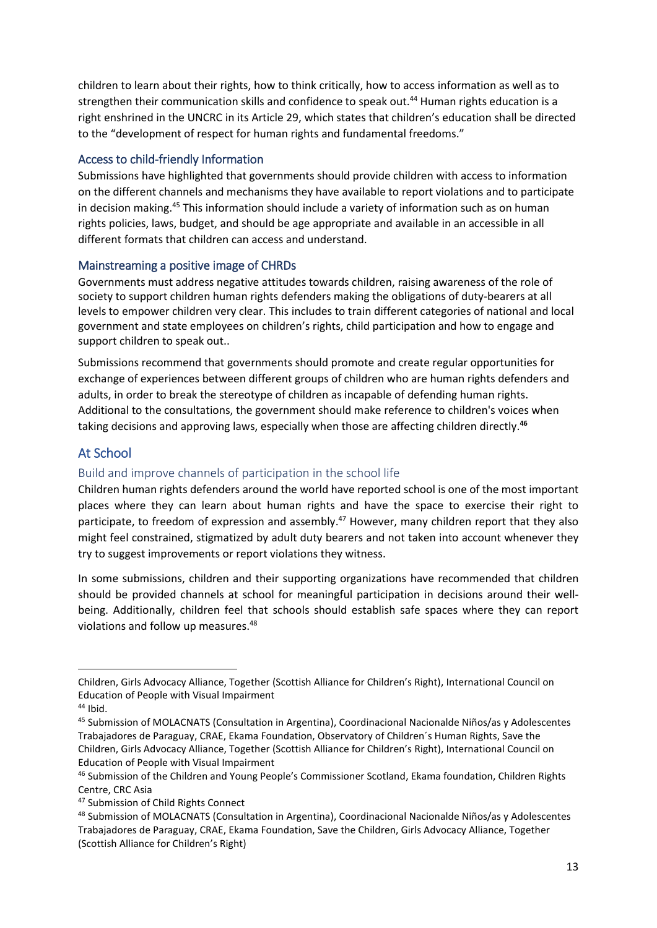children to learn about their rights, how to think critically, how to access information as well as to strengthen their communication skills and confidence to speak out.<sup>44</sup> Human rights education is a right enshrined in the UNCRC in its Article 29, which states that children's education shall be directed to the "development of respect for human rights and fundamental freedoms."

### Access to child-friendly Information

Submissions have highlighted that governments should provide children with access to information on the different channels and mechanisms they have available to report violations and to participate in decision making.<sup>45</sup> This information should include a variety of information such as on human rights policies, laws, budget, and should be age appropriate and available in an accessible in all different formats that children can access and understand.

### Mainstreaming a positive image of CHRDs

Governments must address negative attitudes towards children, raising awareness of the role of society to support children human rights defenders making the obligations of duty-bearers at all levels to empower children very clear. This includes to train different categories of national and local government and state employees on children's rights, child participation and how to engage and support children to speak out..

Submissions recommend that governments should promote and create regular opportunities for exchange of experiences between different groups of children who are human rights defenders and adults, in order to break the stereotype of children as incapable of defending human rights. Additional to the consultations, the government should make reference to children's voices when taking decisions and approving laws, especially when those are affecting children directly.**<sup>46</sup>**

### At School

### Build and improve channels of participation in the school life

Children human rights defenders around the world have reported school is one of the most important places where they can learn about human rights and have the space to exercise their right to participate, to freedom of expression and assembly.<sup>47</sup> However, many children report that they also might feel constrained, stigmatized by adult duty bearers and not taken into account whenever they try to suggest improvements or report violations they witness.

In some submissions, children and their supporting organizations have recommended that children should be provided channels at school for meaningful participation in decisions around their wellbeing. Additionally, children feel that schools should establish safe spaces where they can report violations and follow up measures.<sup>48</sup>

1

Children, Girls Advocacy Alliance, Together (Scottish Alliance for Children's Right), International Council on Education of People with Visual Impairment

 $44$  Ibid.

<sup>45</sup> Submission of MOLACNATS (Consultation in Argentina), Coordinacional Nacionalde Niños/as y Adolescentes Trabajadores de Paraguay, CRAE, Ekama Foundation, Observatory of Children´s Human Rights, Save the Children, Girls Advocacy Alliance, Together (Scottish Alliance for Children's Right), International Council on Education of People with Visual Impairment

<sup>46</sup> Submission of the Children and Young People's Commissioner Scotland, Ekama foundation, Children Rights Centre, CRC Asia

<sup>47</sup> Submission of Child Rights Connect

<sup>48</sup> Submission of MOLACNATS (Consultation in Argentina), Coordinacional Nacionalde Niños/as y Adolescentes Trabajadores de Paraguay, CRAE, Ekama Foundation, Save the Children, Girls Advocacy Alliance, Together (Scottish Alliance for Children's Right)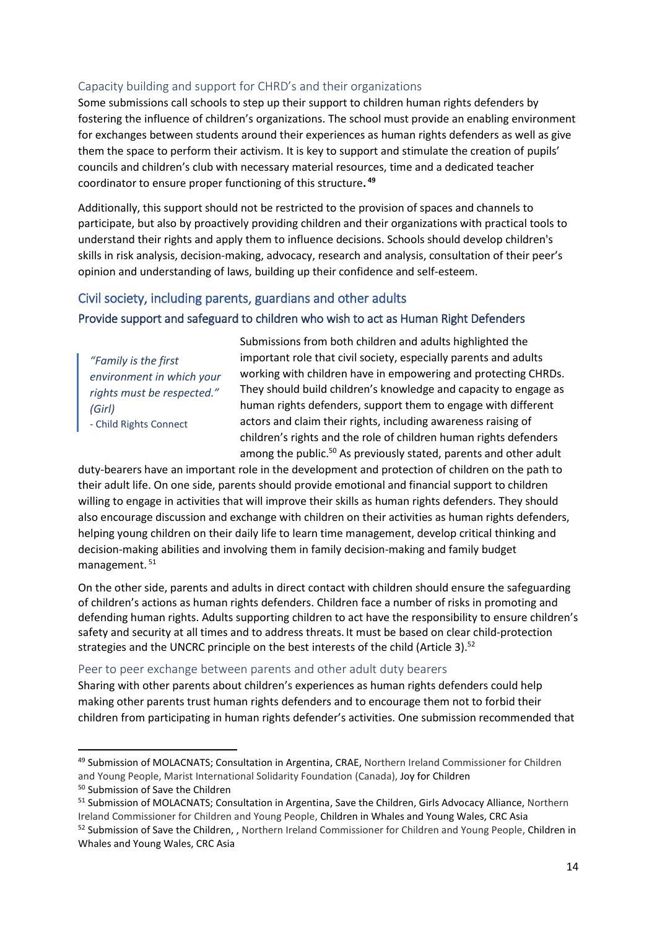### Capacity building and support for CHRD's and their organizations

Some submissions call schools to step up their support to children human rights defenders by fostering the influence of children's organizations. The school must provide an enabling environment for exchanges between students around their experiences as human rights defenders as well as give them the space to perform their activism. It is key to support and stimulate the creation of pupils' councils and children's club with necessary material resources, time and a dedicated teacher coordinator to ensure proper functioning of this structure**. 49**

Additionally, this support should not be restricted to the provision of spaces and channels to participate, but also by proactively providing children and their organizations with practical tools to understand their rights and apply them to influence decisions. Schools should develop children's skills in risk analysis, decision-making, advocacy, research and analysis, consultation of their peer's opinion and understanding of laws, building up their confidence and self-esteem.

## Civil society, including parents, guardians and other adults Provide support and safeguard to children who wish to act as Human Right Defenders

*"Family is the first environment in which your rights must be respected." (Girl)* - Child Rights Connect

Submissions from both children and adults highlighted the important role that civil society, especially parents and adults working with children have in empowering and protecting CHRDs. They should build children's knowledge and capacity to engage as human rights defenders, support them to engage with different actors and claim their rights, including awareness raising of children's rights and the role of children human rights defenders among the public.<sup>50</sup> As previously stated, parents and other adult

duty-bearers have an important role in the development and protection of children on the path to their adult life. On one side, parents should provide emotional and financial support to children willing to engage in activities that will improve their skills as human rights defenders. They should also encourage discussion and exchange with children on their activities as human rights defenders, helping young children on their daily life to learn time management, develop critical thinking and decision-making abilities and involving them in family decision-making and family budget management. 51

On the other side, parents and adults in direct contact with children should ensure the safeguarding of children's actions as human rights defenders. Children face a number of risks in promoting and defending human rights. Adults supporting children to act have the responsibility to ensure children's safety and security at all times and to address threats. It must be based on clear child-protection strategies and the UNCRC principle on the best interests of the child (Article 3).<sup>52</sup>

#### Peer to peer exchange between parents and other adult duty bearers

Sharing with other parents about children's experiences as human rights defenders could help making other parents trust human rights defenders and to encourage them not to forbid their children from participating in human rights defender's activities. One submission recommended that

<sup>49</sup> Submission of MOLACNATS; Consultation in Argentina, CRAE, Northern Ireland Commissioner for Children and Young People, Marist International Solidarity Foundation (Canada), Joy for Children

<sup>50</sup> Submission of Save the Children

<sup>51</sup> Submission of MOLACNATS; Consultation in Argentina, Save the Children, Girls Advocacy Alliance, Northern Ireland Commissioner for Children and Young People, Children in Whales and Young Wales, CRC Asia

<sup>&</sup>lt;sup>52</sup> Submission of Save the Children,, Northern Ireland Commissioner for Children and Young People, Children in Whales and Young Wales, CRC Asia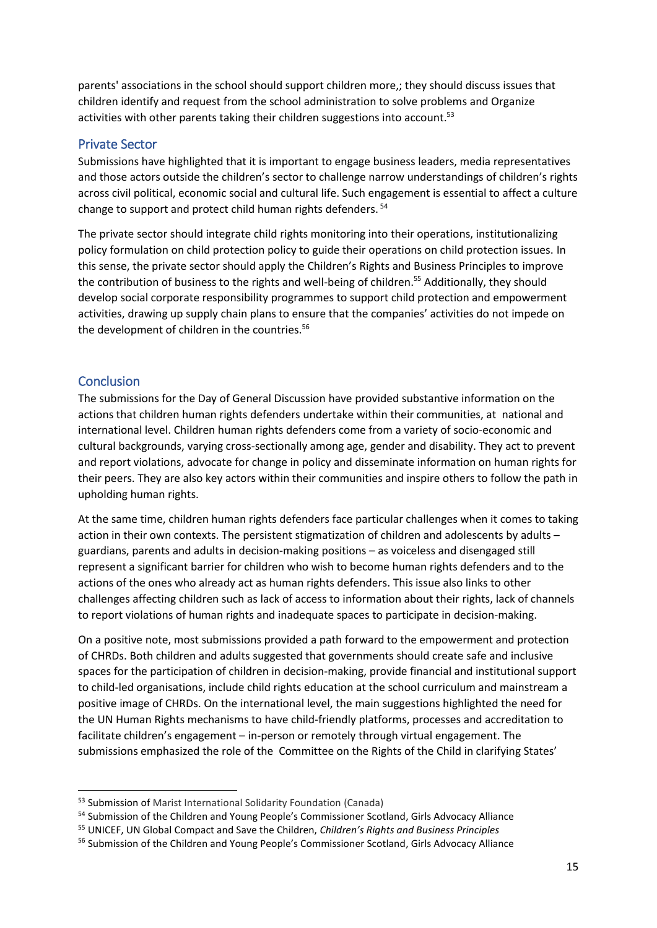parents' associations in the school should support children more,; they should discuss issues that children identify and request from the school administration to solve problems and Organize activities with other parents taking their children suggestions into account.<sup>53</sup>

### Private Sector

Submissions have highlighted that it is important to engage business leaders, media representatives and those actors outside the children's sector to challenge narrow understandings of children's rights across civil political, economic social and cultural life. Such engagement is essential to affect a culture change to support and protect child human rights defenders. <sup>54</sup>

The private sector should integrate child rights monitoring into their operations, institutionalizing policy formulation on child protection policy to guide their operations on child protection issues. In this sense, the private sector should apply the Children's Rights and Business Principles to improve the contribution of business to the rights and well-being of children. <sup>55</sup> Additionally, they should develop social corporate responsibility programmes to support child protection and empowerment activities, drawing up supply chain plans to ensure that the companies' activities do not impede on the development of children in the countries.<sup>56</sup>

### **Conclusion**

**.** 

The submissions for the Day of General Discussion have provided substantive information on the actions that children human rights defenders undertake within their communities, at national and international level. Children human rights defenders come from a variety of socio-economic and cultural backgrounds, varying cross-sectionally among age, gender and disability. They act to prevent and report violations, advocate for change in policy and disseminate information on human rights for their peers. They are also key actors within their communities and inspire others to follow the path in upholding human rights.

At the same time, children human rights defenders face particular challenges when it comes to taking action in their own contexts. The persistent stigmatization of children and adolescents by adults – guardians, parents and adults in decision-making positions – as voiceless and disengaged still represent a significant barrier for children who wish to become human rights defenders and to the actions of the ones who already act as human rights defenders. This issue also links to other challenges affecting children such as lack of access to information about their rights, lack of channels to report violations of human rights and inadequate spaces to participate in decision-making.

On a positive note, most submissions provided a path forward to the empowerment and protection of CHRDs. Both children and adults suggested that governments should create safe and inclusive spaces for the participation of children in decision-making, provide financial and institutional support to child-led organisations, include child rights education at the school curriculum and mainstream a positive image of CHRDs. On the international level, the main suggestions highlighted the need for the UN Human Rights mechanisms to have child-friendly platforms, processes and accreditation to facilitate children's engagement – in-person or remotely through virtual engagement. The submissions emphasized the role of the Committee on the Rights of the Child in clarifying States'

<sup>53</sup> Submission of Marist International Solidarity Foundation (Canada)

<sup>54</sup> Submission of the Children and Young People's Commissioner Scotland, Girls Advocacy Alliance

<sup>55</sup> UNICEF, UN Global Compact and Save the Children, *Children's Rights and Business Principles* 

<sup>&</sup>lt;sup>56</sup> Submission of the Children and Young People's Commissioner Scotland, Girls Advocacy Alliance